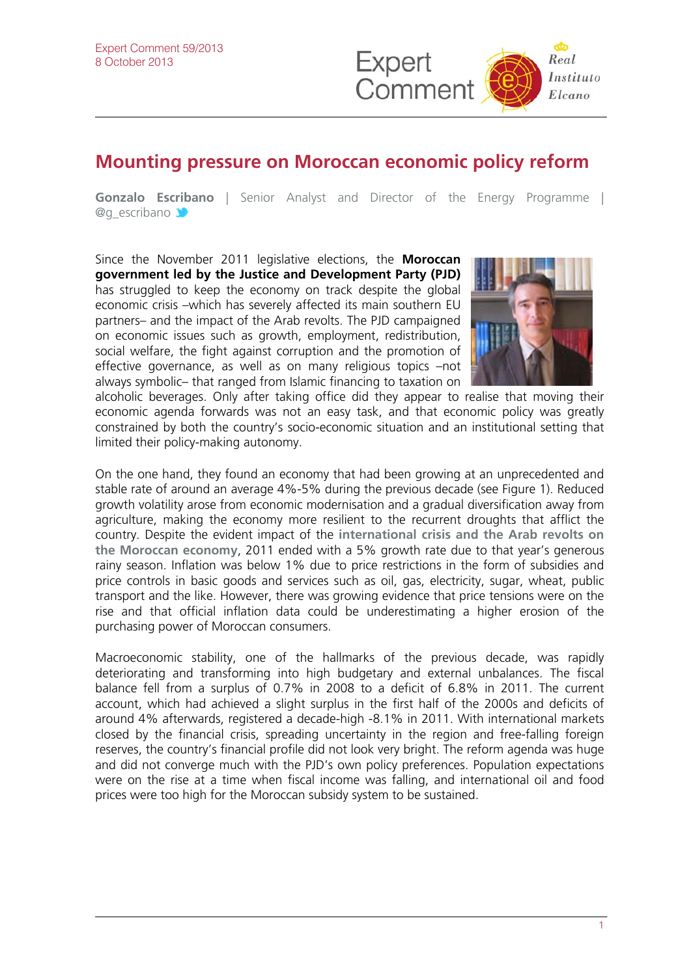

## **Mounting pressure on Moroccan economic policy reform**

**Gonzalo Es[criba](http://twitter.com/rielcano)no** | Senior Analyst and Director of the Energy Programme | @g\_escribano

Since the November 2011 legislative elections, the **Moroccan government led by the Justice and Development Party (PJD)** has struggled to keep the economy on track despite the global economic crisis –which has severely affected its main southern EU partners– and the impact of the Arab revolts. The PJD campaigned on economic issues such as growth, employment, redistribution, social welfare, the fight against corruption and the promotion of effective governance, as well as on many religious topics –not always symbolic– that ranged from Islamic financing to taxation on



alcoholic beverages. Only after taking office did they appear to realise that moving their economic agenda forwards was not an easy task, and that economic policy was greatly constrained by both the country's socio-economic situation and an institutional setting that limited their policy-making autonomy.

On the one hand, they found an economy that had been growing at an unprecedented and stable rate of around an average 4%-5% during the previous decade (see Figure 1). Reduced growth volatility arose from economic modernisation and a gradual diversification away from agriculture, making the economy more resilient to the recurrent droughts that afflict the country. Despite the evident impact of the **[international crisis and the Arab revolts on](http://www.realinstitutoelcano.org/wps/portal/rielcano_eng/Content?WCM_GLOBAL_CONTEXT=/elcano/elcano_in/zonas_in/international+economy/wp3-2013_escribano_political_economy_north_africa_transitions)  [the Moroccan economy](http://www.realinstitutoelcano.org/wps/portal/rielcano_eng/Content?WCM_GLOBAL_CONTEXT=/elcano/elcano_in/zonas_in/international+economy/wp3-2013_escribano_political_economy_north_africa_transitions)**, 2011 ended with a 5% growth rate due to that year's generous rainy season. Inflation was below 1% due to price restrictions in the form of subsidies and price controls in basic goods and services such as oil, gas, electricity, sugar, wheat, public transport and the like. However, there was growing evidence that price tensions were on the rise and that official inflation data could be underestimating a higher erosion of the purchasing power of Moroccan consumers.

Macroeconomic stability, one of the hallmarks of the previous decade, was rapidly deteriorating and transforming into high budgetary and external unbalances. The fiscal balance fell from a surplus of 0.7% in 2008 to a deficit of 6.8% in 2011. The current account, which had achieved a slight surplus in the first half of the 2000s and deficits of around 4% afterwards, registered a decade-high -8.1% in 2011. With international markets closed by the financial crisis, spreading uncertainty in the region and free-falling foreign reserves, the country's financial profile did not look very bright. The reform agenda was huge and did not converge much with the PJD's own policy preferences. Population expectations were on the rise at a time when fiscal income was falling, and international oil and food prices were too high for the Moroccan subsidy system to be sustained.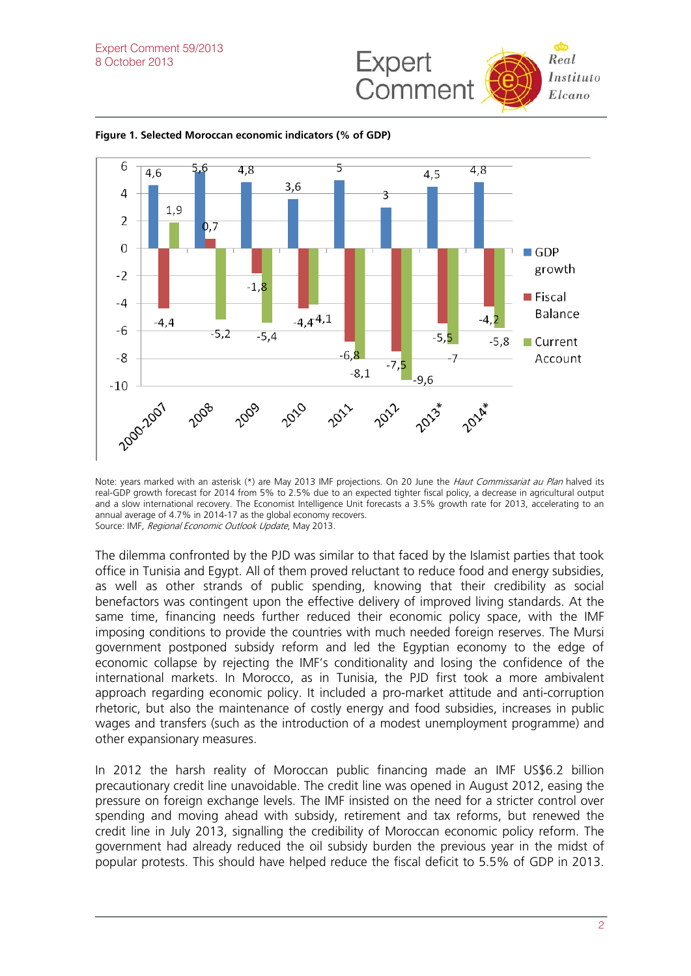



**Figure 1. Selected Moroccan economic indicators (% of GDP)** 

Note: years marked with an asterisk (\*) are May 2013 IMF projections. On 20 June the Haut Commissariat au Plan halved its real-GDP growth forecast for 2014 from 5% to 2.5% due to an expected tighter fiscal policy, a decrease in agricultural output and a slow international recovery. The Economist Intelligence Unit forecasts a 3.5% growth rate for 2013, accelerating to an annual average of 4.7% in 2014-17 as the global economy recovers. Source: IMF, Regional Economic Outlook Update, May 2013.

The dilemma confronted by the PJD was similar to that faced by the Islamist parties that took office in Tunisia and Egypt. All of them proved reluctant to reduce food and energy subsidies, as well as other strands of public spending, knowing that their credibility as social benefactors was contingent upon the effective delivery of improved living standards. At the same time, financing needs further reduced their economic policy space, with the IMF imposing conditions to provide the countries with much needed foreign reserves. The Mursi government postponed subsidy reform and led the Egyptian economy to the edge of economic collapse by rejecting the IMF's conditionality and losing the confidence of the international markets. In Morocco, as in Tunisia, the PJD first took a more ambivalent approach regarding economic policy. It included a pro-market attitude and anti-corruption rhetoric, but also the maintenance of costly energy and food subsidies, increases in public wages and transfers (such as the introduction of a modest unemployment programme) and other expansionary measures.

In 2012 the harsh reality of Moroccan public financing made an IMF US\$6.2 billion precautionary credit line unavoidable. The credit line was opened in August 2012, easing the pressure on foreign exchange levels. The IMF insisted on the need for a stricter control over spending and moving ahead with subsidy, retirement and tax reforms, but renewed the credit line in July 2013, signalling the credibility of Moroccan economic policy reform. The government had already reduced the oil subsidy burden the previous year in the midst of popular protests. This should have helped reduce the fiscal deficit to 5.5% of GDP in 2013.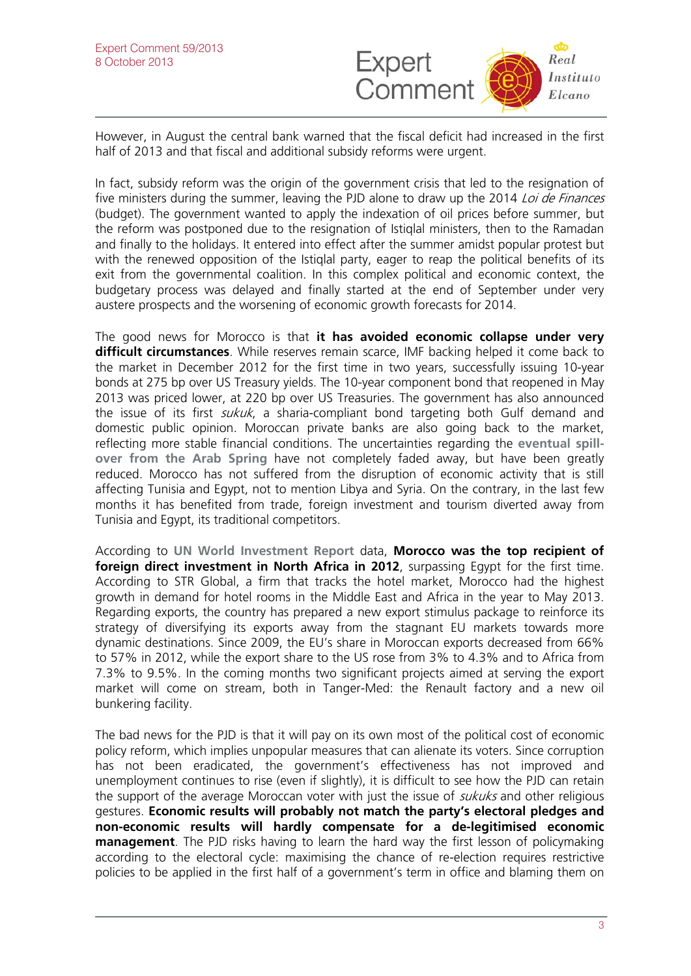

However, in August the central bank warned that the fiscal deficit had increased in the first half of 2013 and that fiscal and additional subsidy reforms were urgent.

In fact, subsidy reform was the origin of the government crisis that led to the resignation of five ministers during the summer, leaving the PJD alone to draw up the 2014 Loi de Finances (budget). The government wanted to apply the indexation of oil prices before summer, but the reform was postponed due to the resignation of Istiqlal ministers, then to the Ramadan and finally to the holidays. It entered into effect after the summer amidst popular protest but with the renewed opposition of the Istiglal party, eager to reap the political benefits of its exit from the governmental coalition. In this complex political and economic context, the budgetary process was delayed and finally started at the end of September under very austere prospects and the worsening of economic growth forecasts for 2014.

The good news for Morocco is that **it has avoided economic collapse under very difficult circumstances**. While reserves remain scarce, IMF backing helped it come back to the market in December 2012 for the first time in two years, successfully issuing 10-year bonds at 275 bp over US Treasury yields. The 10-year component bond that reopened in May 2013 was priced lower, at 220 bp over US Treasuries. The government has also announced the issue of its first *sukuk*, a sharia-compliant bond targeting both Gulf demand and domestic public opinion. Moroccan private banks are also going back to the market, reflecting more stable financial conditions. The uncertainties regarding the **[eventual spill](http://www.realinstitutoelcano.org/wps/portal/rielcano_eng/Content?WCM_GLOBAL_CONTEXT=/elcano/elcano_in/zonas_in/international+economy/wp3-2013_escribano_political_economy_north_africa_transitions)[over from the Arab Spring](http://www.realinstitutoelcano.org/wps/portal/rielcano_eng/Content?WCM_GLOBAL_CONTEXT=/elcano/elcano_in/zonas_in/international+economy/wp3-2013_escribano_political_economy_north_africa_transitions)** have not completely faded away, but have been greatly reduced. Morocco has not suffered from the disruption of economic activity that is still affecting Tunisia and Egypt, not to mention Libya and Syria. On the contrary, in the last few months it has benefited from trade, foreign investment and tourism diverted away from Tunisia and Egypt, its traditional competitors.

According to **[UN World Investment Report](http://unctad.org/en/pages/PublicationWebflyer.aspx?publicationid=588)** data, **Morocco was the top recipient of foreign direct investment in North Africa in 2012**, surpassing Egypt for the first time. According to STR Global, a firm that tracks the hotel market, Morocco had the highest growth in demand for hotel rooms in the Middle East and Africa in the year to May 2013. Regarding exports, the country has prepared a new export stimulus package to reinforce its strategy of diversifying its exports away from the stagnant EU markets towards more dynamic destinations. Since 2009, the EU's share in Moroccan exports decreased from 66% to 57% in 2012, while the export share to the US rose from 3% to 4.3% and to Africa from 7.3% to 9.5%. In the coming months two significant projects aimed at serving the export market will come on stream, both in Tanger-Med: the Renault factory and a new oil bunkering facility.

The bad news for the PJD is that it will pay on its own most of the political cost of economic policy reform, which implies unpopular measures that can alienate its voters. Since corruption has not been eradicated, the government's effectiveness has not improved and unemployment continues to rise (even if slightly), it is difficult to see how the PJD can retain the support of the average Moroccan voter with just the issue of *sukuks* and other religious gestures. **Economic results will probably not match the party's electoral pledges and non-economic results will hardly compensate for a de-legitimised economic management**. The PJD risks having to learn the hard way the first lesson of policymaking according to the electoral cycle: maximising the chance of re-election requires restrictive policies to be applied in the first half of a government's term in office and blaming them on